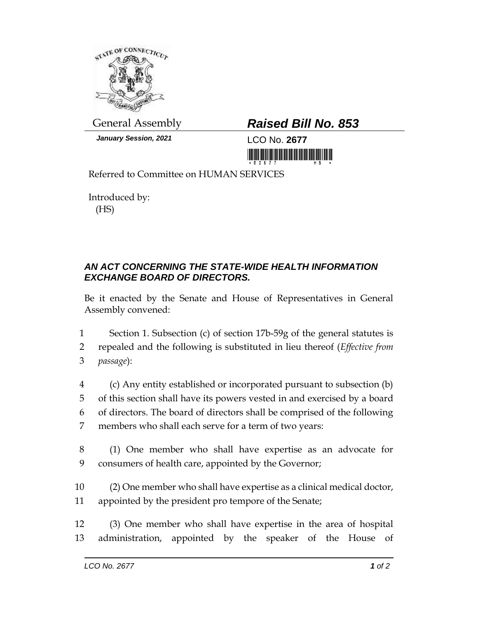

*January Session, 2021* LCO No. **2677**

## General Assembly *Raised Bill No. 853*

<u>Tin İndin İndin in İndin olunun mühitimi in</u>

Referred to Committee on HUMAN SERVICES

Introduced by: (HS)

## *AN ACT CONCERNING THE STATE-WIDE HEALTH INFORMATION EXCHANGE BOARD OF DIRECTORS.*

Be it enacted by the Senate and House of Representatives in General Assembly convened:

1 Section 1. Subsection (c) of section 17b-59g of the general statutes is 2 repealed and the following is substituted in lieu thereof (*Effective from* 

- 3 *passage*):
- 4 (c) Any entity established or incorporated pursuant to subsection (b) 5 of this section shall have its powers vested in and exercised by a board 6 of directors. The board of directors shall be comprised of the following 7 members who shall each serve for a term of two years:
- 8 (1) One member who shall have expertise as an advocate for 9 consumers of health care, appointed by the Governor;
- 10 (2) One member who shall have expertise as a clinical medical doctor, 11 appointed by the president pro tempore of the Senate;
- 12 (3) One member who shall have expertise in the area of hospital 13 administration, appointed by the speaker of the House of